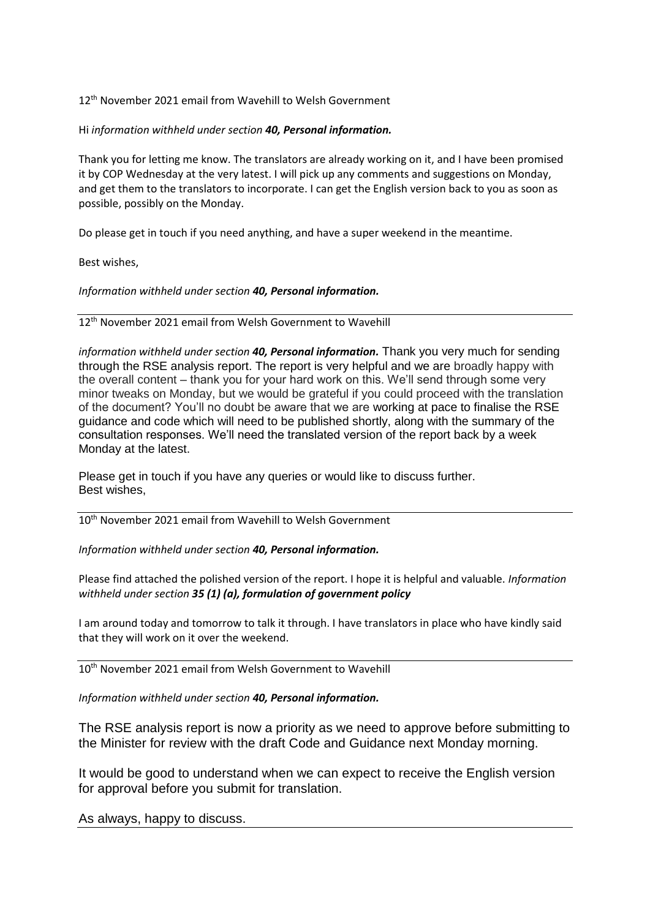12<sup>th</sup> November 2021 email from Wavehill to Welsh Government

## Hi *information withheld under section 40, Personal information.*

Thank you for letting me know. The translators are already working on it, and I have been promised it by COP Wednesday at the very latest. I will pick up any comments and suggestions on Monday, and get them to the translators to incorporate. I can get the English version back to you as soon as possible, possibly on the Monday.

Do please get in touch if you need anything, and have a super weekend in the meantime.

Best wishes,

## *Information withheld under section 40, Personal information.*

## 12<sup>th</sup> November 2021 email from Welsh Government to Wavehill

*information withheld under section 40, Personal information.* Thank you very much for sending through the RSE analysis report. The report is very helpful and we are broadly happy with the overall content – thank you for your hard work on this. We'll send through some very minor tweaks on Monday, but we would be grateful if you could proceed with the translation of the document? You'll no doubt be aware that we are working at pace to finalise the RSE guidance and code which will need to be published shortly, along with the summary of the consultation responses. We'll need the translated version of the report back by a week Monday at the latest.

Please get in touch if you have any queries or would like to discuss further. Best wishes,

 $10<sup>th</sup>$  November 2021 email from Wavehill to Welsh Government

*Information withheld under section 40, Personal information.*

Please find attached the polished version of the report. I hope it is helpful and valuable. *Information withheld under section 35 (1) (a), formulation of government policy*

I am around today and tomorrow to talk it through. I have translators in place who have kindly said that they will work on it over the weekend.

10<sup>th</sup> November 2021 email from Welsh Government to Wavehill

*Information withheld under section 40, Personal information.*

The RSE analysis report is now a priority as we need to approve before submitting to the Minister for review with the draft Code and Guidance next Monday morning.

It would be good to understand when we can expect to receive the English version for approval before you submit for translation.

As always, happy to discuss.